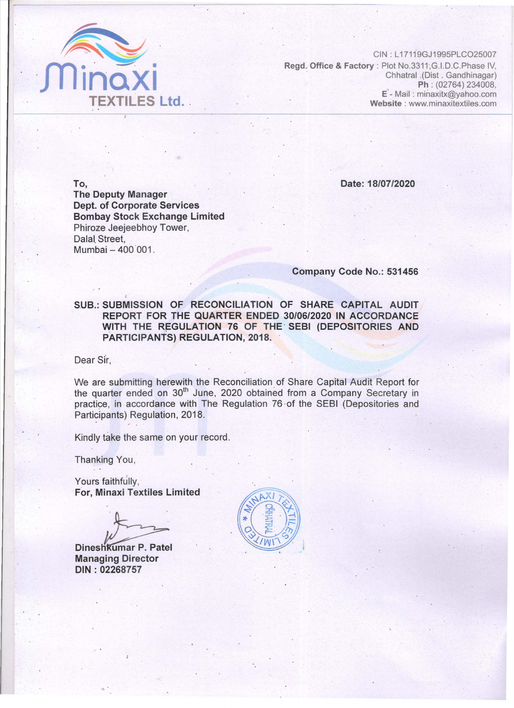-

•

•

•

•

•

•

•

•

CIN : L 17119GJ1995PLC025007 • Regd. Office & Factory : Plot No.3311, G.I.D.C.Phase IV,<br>Chhatral .(Dist . Gandhinagar)<br>Ph: (02764) 234008, • Chhatral .(Dist . Gandhinagar) Ph : (02764) 234008, , . E - Mail : minaxitx@yahoo.com TEXTILES Ltd. Website: www.minaxitextiles.com

, an interesting the state  $\mu$  . Finally,  $\mu$  is the state with principal control. See the control interest  $\mu$  is the state  $\mu$ 

•

•

•

•

• •

•

•

• •



•

SUB.: SUBMISSION OF RECONCILIATION OF SHARE CAPITAL AUDIT REPORT FOR THE QUARTER ENDED 30/06/2020 IN ACCORDANCE • WITH THE REGULATION 76 OF THE SEBI (DEPOSITORIES AND PARTICIPANTS) REGULATION, 2018.

•

,

•

•

•

To, The Deputy Manager • • Dept. of Corporate Services Bombay Stock Exchange Limited Phiroze Jeejeebhoy Tower, Dalal. Street,

• •

We are submitting herewith the Reconciliation of Share Capital Audit Report for the quarter ended on 30<sup>th</sup> June, 2020 obtained from a Company Secretary in practice, in accordance with The Regulation 76 of the SEBI (Depositories and Participants) Regulation, 2018.

• • •

Company Code No.: 531456

•

•

•

•

•

•

• •

•

•

Mumbai - 400 001.

•

•

•

•

•

Dear Sir,

• Date: 18/07/2020

•

•

· Yours faithfully, •

•

•

en en de statistike op de statistike begin de statistike op de statistike op de statistike op de statistike op

•

 $\ddot{\cdot}$ 

Dineshkumar P. Patel Managing Director DIN: 02268757

•

•

•

•

•

• •

• Kindly take the same on your record.

Thanking You,

•

For, Minaxi Textiles Limited

• •

•

•

•

•

• •

•

•

•

•

•

•

•

•

, . •

•

•



•

•

 $\ddot{\phantom{0}}$ 

•

•

•

•

•

•

•

•

•

• •

•

•

•

•

• •

•

•

•

•

•

•

•

•

•

•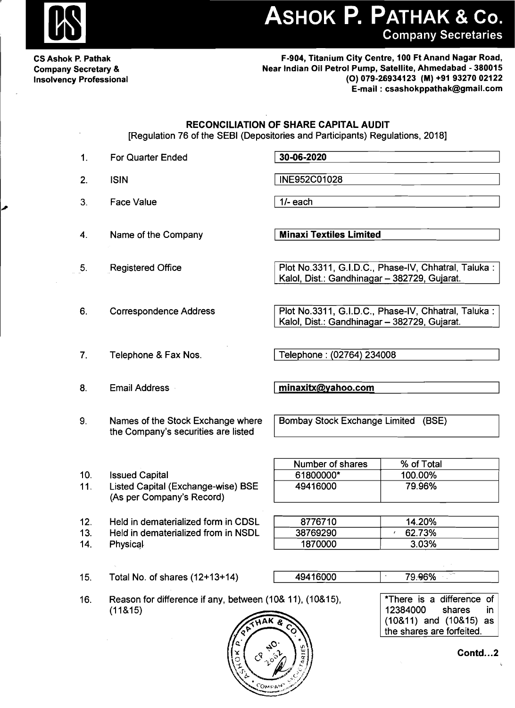

## ASHOK P. PATHAK & Co. **Company Secretaries**

**CS Ashok P. Pathak Company Secretary & Insolvency Professional** 

F-904, Titanium City Centre, 100 Ft Anand Nagar Road, Near Indian Oil Petrol Pump, Satellite, Ahmedabad - 380015 (O) 079-26934123 (M) +91 93270 02122 E-mail: csashokppathak@gmail.com

**RECONCILIATION OF SHARE CAPITAL AUDIT** 

[Regulation 76 of the SEBI (Depositories and Participants) Regulations, 2018]

| 1.                | <b>For Quarter Ended</b>                                                                        | 30-06-2020                                                                                          |                                                                                                                      |  |  |
|-------------------|-------------------------------------------------------------------------------------------------|-----------------------------------------------------------------------------------------------------|----------------------------------------------------------------------------------------------------------------------|--|--|
| 2.                | <b>ISIN</b>                                                                                     | INE952C01028                                                                                        |                                                                                                                      |  |  |
| 3.                | <b>Face Value</b>                                                                               | $1/-$ each                                                                                          |                                                                                                                      |  |  |
| 4.                | Name of the Company                                                                             | <b>Minaxi Textiles Limited</b>                                                                      |                                                                                                                      |  |  |
| 5.                | <b>Registered Office</b>                                                                        | Plot No.3311, G.I.D.C., Phase-IV, Chhatral, Taluka:<br>Kalol, Dist.: Gandhinagar - 382729, Gujarat. |                                                                                                                      |  |  |
| 6.                | <b>Correspondence Address</b>                                                                   | Plot No.3311, G.I.D.C., Phase-IV, Chhatral, Taluka:<br>Kalol, Dist.: Gandhinagar - 382729, Gujarat. |                                                                                                                      |  |  |
| 7.                | Telephone & Fax Nos.                                                                            | Telephone: (02764) 234008                                                                           |                                                                                                                      |  |  |
| 8.                | <b>Email Address</b>                                                                            | minaxitx@yahoo.com                                                                                  |                                                                                                                      |  |  |
| 9.                | Names of the Stock Exchange where<br>the Company's securities are listed                        | Bombay Stock Exchange Limited (BSE)                                                                 |                                                                                                                      |  |  |
| 10.<br>11.        | <b>Issued Capital</b><br><b>Listed Capital (Exchange-wise) BSE</b><br>(As per Company's Record) | Number of shares<br>61800000*<br>49416000                                                           | % of Total<br>100.00%<br>79.96%                                                                                      |  |  |
| 12.<br>13.<br>14. | Held in dematerialized form in CDSL<br>Held in dematerialized from in NSDL<br>Physical          | 8776710<br>38769290<br>1870000                                                                      | 14.20%<br>62.73%<br>3.03%                                                                                            |  |  |
| 15.               | Total No. of shares (12+13+14)                                                                  | 49416000                                                                                            | 79.96%                                                                                                               |  |  |
| 16.               | Reason for difference if any, between (10& 11), (10&15),<br>(11815)                             |                                                                                                     | *There is a difference of<br>12384000<br>shares<br>in.<br>$(10&11)$ and $(10&15)$<br>as<br>the shares are forfeited. |  |  |

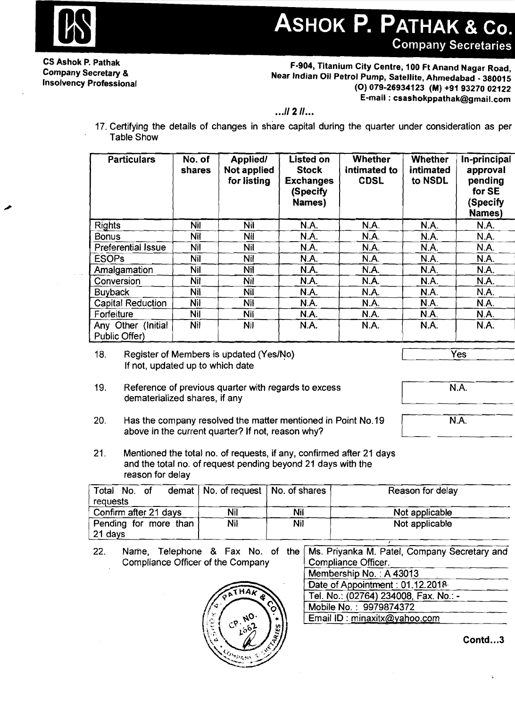

## ASHOK P. PATHAK & Co. **Company Secretaries**

CS Ashok P. Pathak Company Secretary & Insolvency Professional

F·904, Titanium City Centre, 100 Ft Anand Nagar Road, Near Indian Oil Petrol Pump, Satellite, Ahmedabad - 380015 (0) 079·26934123 (M) +919327002122 E-mail: csashokppathak@gmail.com

 $...$  11 2  $11...$ 

17. Certifying the details of changes in share capital during the quarter under consideration as per Table Show

| <b>Particulars</b>                  | No. of<br>shares | Applied/<br>Not applied<br>for listing | Listed on<br><b>Stock</b><br><b>Exchanges</b><br>(Specify)<br>Names) | <b>Whether</b><br>intimated to<br><b>CDSL</b> | <b>Whether</b><br>intimated<br>to NSDL | In-principal<br>approval<br>pending<br>for SE<br>(Specify<br><b>Names</b> ) |
|-------------------------------------|------------------|----------------------------------------|----------------------------------------------------------------------|-----------------------------------------------|----------------------------------------|-----------------------------------------------------------------------------|
| <b>Rights</b>                       | <b>Nil</b>       | Nil                                    | N.A.                                                                 | N.A.                                          | N.A.                                   | <b>N.A.</b>                                                                 |
| <b>Bonus</b>                        | Nil              | Nil                                    | N.A.                                                                 | N.A.                                          | N.A.                                   | N.A.                                                                        |
| <b>Preferential Issue</b>           | <b>Nil</b>       | Nil                                    | N.A.                                                                 | N.A.                                          | <b>N.A.</b>                            | N.A.                                                                        |
| <b>ESOPs</b>                        | Nil              | Nil                                    | N.A.                                                                 | N.A.                                          | N.A.                                   | N.A.                                                                        |
| Amalgamation                        | Nil              | Nil                                    | <b>N.A.</b>                                                          | <b>N.A.</b>                                   | <b>N.A.</b>                            | N.A.                                                                        |
| Conversion                          | Nil              | <b>Nil</b>                             | N.A.                                                                 | N.A.                                          | N.A.                                   | N.A.                                                                        |
| <b>Buyback</b>                      | <b>Nil</b>       | Nil                                    | <b>N.A.</b>                                                          | N.A.                                          | N.A.                                   | N.A.                                                                        |
| <b>Capital Reduction</b>            | Nil              | <b>Nil</b>                             | N.A.                                                                 | N.A.                                          | N.A.                                   | N.A.                                                                        |
| Forfeiture                          | <b>Nil</b>       | Nil                                    | N.A.                                                                 | N.A.                                          | N.A.                                   | N.A.                                                                        |
| Any Other (Initial<br>Public Offer) | <b>Nil</b>       | <b>Nil</b>                             | N.A.                                                                 | N.A.                                          | <b>N.A.</b>                            | N.A.                                                                        |

18. Register of Members is updated (Yes/No) If not, updated up to which date

Yes

N.A

- 19. Reference of previous quarter with regards to excess dematerialized shares, if any
- 20. Has the company resolved the matter mentioned in Point No.19 above in the current quarter? If not, reason why?

N.A

21. Mentioned the total no. of requests, if any, confirmed after 21 days and the total no. of request pending beyond 21 days with the reason for delay

| Total No. of<br>requests | demat $\vert$ No. of request $\vert$ No. of shares |     | Reason for delay |
|--------------------------|----------------------------------------------------|-----|------------------|
| Confirm after 21 days    | Nil                                                | Nil | Not applicable   |
| Pending for more than    | Nil                                                | Nil | Not applicable   |
| 21 days                  |                                                    |     |                  |

22. Name, Telephone & Fax No. of the Compliance Officer of the Company Ms. Priyanka M. Patel, Company Secretary and Compliance Officer.



| ivis. I hydrika ivi. I alci, Obhibariy Occiclary and |
|------------------------------------------------------|
| Compliance Officer.                                  |
| Membership No.: A 43013                              |
| Date of Appointment: 01.12.2018                      |
| Tel. No.: (02764) 234008, Fax. No.: -                |
| Mobile No.: 9979874372                               |
| Email ID: minaxitx@yahoo.com                         |
|                                                      |

Contd...3